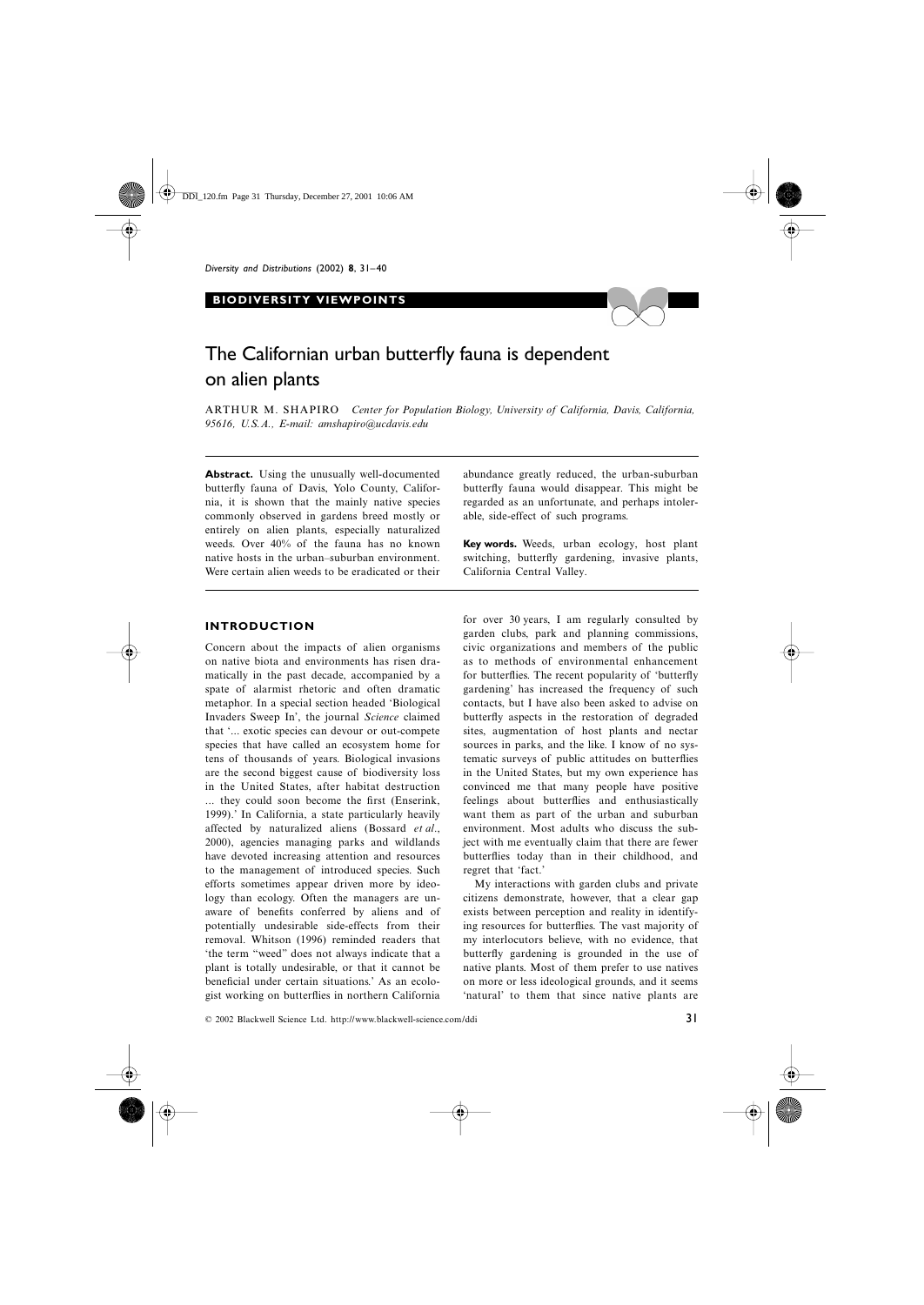**BIODIVERSITY VIEWPOINTS**



# The Californian urban butterfly fauna is dependent on alien plants

ARTHUR M. SHAPIRO *Center for Population Biology, University of California, Davis, California, 95616, U.S.A., E-mail: amshapiro@ucdavis.edu*

**Abstract.** Using the unusually well-documented butterfly fauna of Davis, Yolo County, California, it is shown that the mainly native species commonly observed in gardens breed mostly or entirely on alien plants, especially naturalized weeds. Over 40% of the fauna has no known native hosts in the urban–suburban environment. Were certain alien weeds to be eradicated or their

# regarded as an unfortunate, and perhaps intolerable, side-effect of such programs. **Key words.** Weeds, urban ecology, host plant

abundance greatly reduced, the urban-suburban butterfly fauna would disappear. This might be

switching, butterfly gardening, invasive plants,

California Central Valley.

#### **INTRODUCTION**

Concern about the impacts of alien organisms on native biota and environments has risen dramatically in the past decade, accompanied by a spate of alarmist rhetoric and often dramatic metaphor. In a special section headed 'Biological Invaders Sweep In', the journal *Science* claimed that '... exotic species can devour or out-compete species that have called an ecosystem home for tens of thousands of years. Biological invasions are the second biggest cause of biodiversity loss in the United States, after habitat destruction ... they could soon become the first (Enserink, 1999).' In California, a state particularly heavily affected by naturalized aliens (Bossard *et al*., 2000), agencies managing parks and wildlands have devoted increasing attention and resources to the management of introduced species. Such efforts sometimes appear driven more by ideology than ecology. Often the managers are unaware of benefits conferred by aliens and of potentially undesirable side-effects from their removal. Whitson (1996) reminded readers that 'the term "weed" does not always indicate that a plant is totally undesirable, or that it cannot be beneficial under certain situations.' As an ecologist working on butterflies in northern California for over 30 years, I am regularly consulted by garden clubs, park and planning commissions, civic organizations and members of the public as to methods of environmental enhancement for butterflies. The recent popularity of 'butterfly gardening' has increased the frequency of such contacts, but I have also been asked to advise on butterfly aspects in the restoration of degraded sites, augmentation of host plants and nectar sources in parks, and the like. I know of no systematic surveys of public attitudes on butterflies in the United States, but my own experience has convinced me that many people have positive feelings about butterflies and enthusiastically want them as part of the urban and suburban environment. Most adults who discuss the subject with me eventually claim that there are fewer butterflies today than in their childhood, and regret that 'fact.'

My interactions with garden clubs and private citizens demonstrate, however, that a clear gap exists between perception and reality in identifying resources for butterflies. The vast majority of my interlocutors believe, with no evidence, that butterfly gardening is grounded in the use of native plants. Most of them prefer to use natives on more or less ideological grounds, and it seems 'natural' to them that since native plants are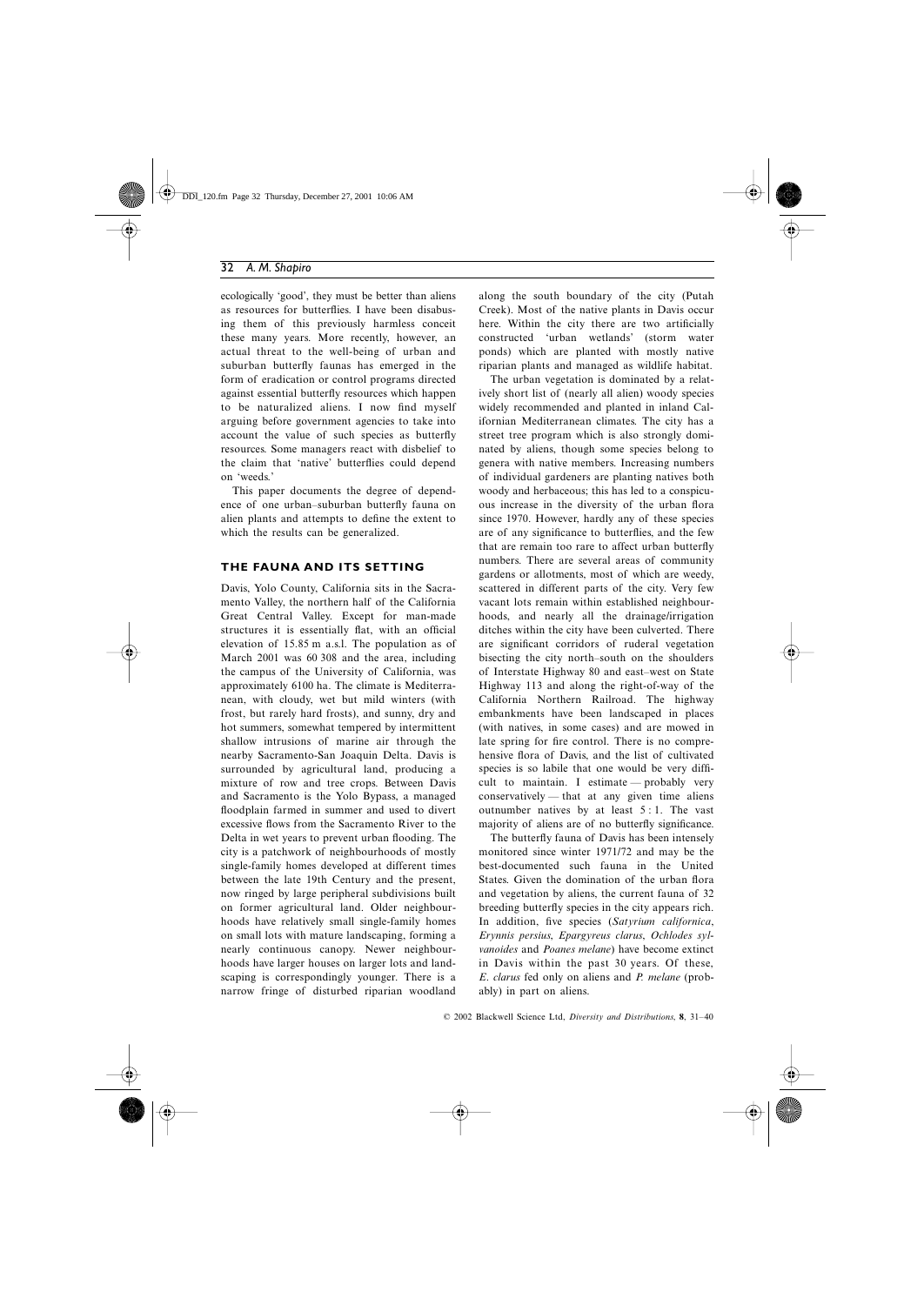ecologically 'good', they must be better than aliens as resources for butterflies. I have been disabusing them of this previously harmless conceit these many years. More recently, however, an actual threat to the well-being of urban and suburban butterfly faunas has emerged in the form of eradication or control programs directed against essential butterfly resources which happen to be naturalized aliens. I now find myself arguing before government agencies to take into account the value of such species as butterfly resources. Some managers react with disbelief to the claim that 'native' butterflies could depend on 'weeds.'

This paper documents the degree of dependence of one urban–suburban butterfly fauna on alien plants and attempts to define the extent to which the results can be generalized.

#### **THE FAUNA AND ITS SETTING**

Davis, Yolo County, California sits in the Sacramento Valley, the northern half of the California Great Central Valley. Except for man-made structures it is essentially flat, with an official elevation of 15.85 m a.s.l. The population as of March 2001 was 60 308 and the area, including the campus of the University of California, was approximately 6100 ha. The climate is Mediterranean, with cloudy, wet but mild winters (with frost, but rarely hard frosts), and sunny, dry and hot summers, somewhat tempered by intermittent shallow intrusions of marine air through the nearby Sacramento-San Joaquin Delta. Davis is surrounded by agricultural land, producing a mixture of row and tree crops. Between Davis and Sacramento is the Yolo Bypass, a managed floodplain farmed in summer and used to divert excessive flows from the Sacramento River to the Delta in wet years to prevent urban flooding. The city is a patchwork of neighbourhoods of mostly single-family homes developed at different times between the late 19th Century and the present, now ringed by large peripheral subdivisions built on former agricultural land. Older neighbourhoods have relatively small single-family homes on small lots with mature landscaping, forming a nearly continuous canopy. Newer neighbourhoods have larger houses on larger lots and landscaping is correspondingly younger. There is a narrow fringe of disturbed riparian woodland along the south boundary of the city (Putah Creek). Most of the native plants in Davis occur here. Within the city there are two artificially constructed 'urban wetlands' (storm water ponds) which are planted with mostly native riparian plants and managed as wildlife habitat.

The urban vegetation is dominated by a relatively short list of (nearly all alien) woody species widely recommended and planted in inland Californian Mediterranean climates. The city has a street tree program which is also strongly dominated by aliens, though some species belong to genera with native members. Increasing numbers of individual gardeners are planting natives both woody and herbaceous; this has led to a conspicuous increase in the diversity of the urban flora since 1970. However, hardly any of these species are of any significance to butterflies, and the few that are remain too rare to affect urban butterfly numbers. There are several areas of community gardens or allotments, most of which are weedy, scattered in different parts of the city. Very few vacant lots remain within established neighbourhoods, and nearly all the drainage/irrigation ditches within the city have been culverted. There are significant corridors of ruderal vegetation bisecting the city north–south on the shoulders of Interstate Highway 80 and east–west on State Highway 113 and along the right-of-way of the California Northern Railroad. The highway embankments have been landscaped in places (with natives, in some cases) and are mowed in late spring for fire control. There is no comprehensive flora of Davis, and the list of cultivated species is so labile that one would be very difficult to maintain. I estimate — probably very conservatively — that at any given time aliens outnumber natives by at least 5 : 1. The vast majority of aliens are of no butterfly significance.

The butterfly fauna of Davis has been intensely monitored since winter 1971/72 and may be the best-documented such fauna in the United States. Given the domination of the urban flora and vegetation by aliens, the current fauna of 32 breeding butterfly species in the city appears rich. In addition, five species (*Satyrium californica*, *Erynnis persius*, *Epargyreus clarus*, *Ochlodes sylvanoides* and *Poanes melane*) have become extinct in Davis within the past 30 years. Of these, *E*. *clarus* fed only on aliens and *P. melane* (probably) in part on aliens.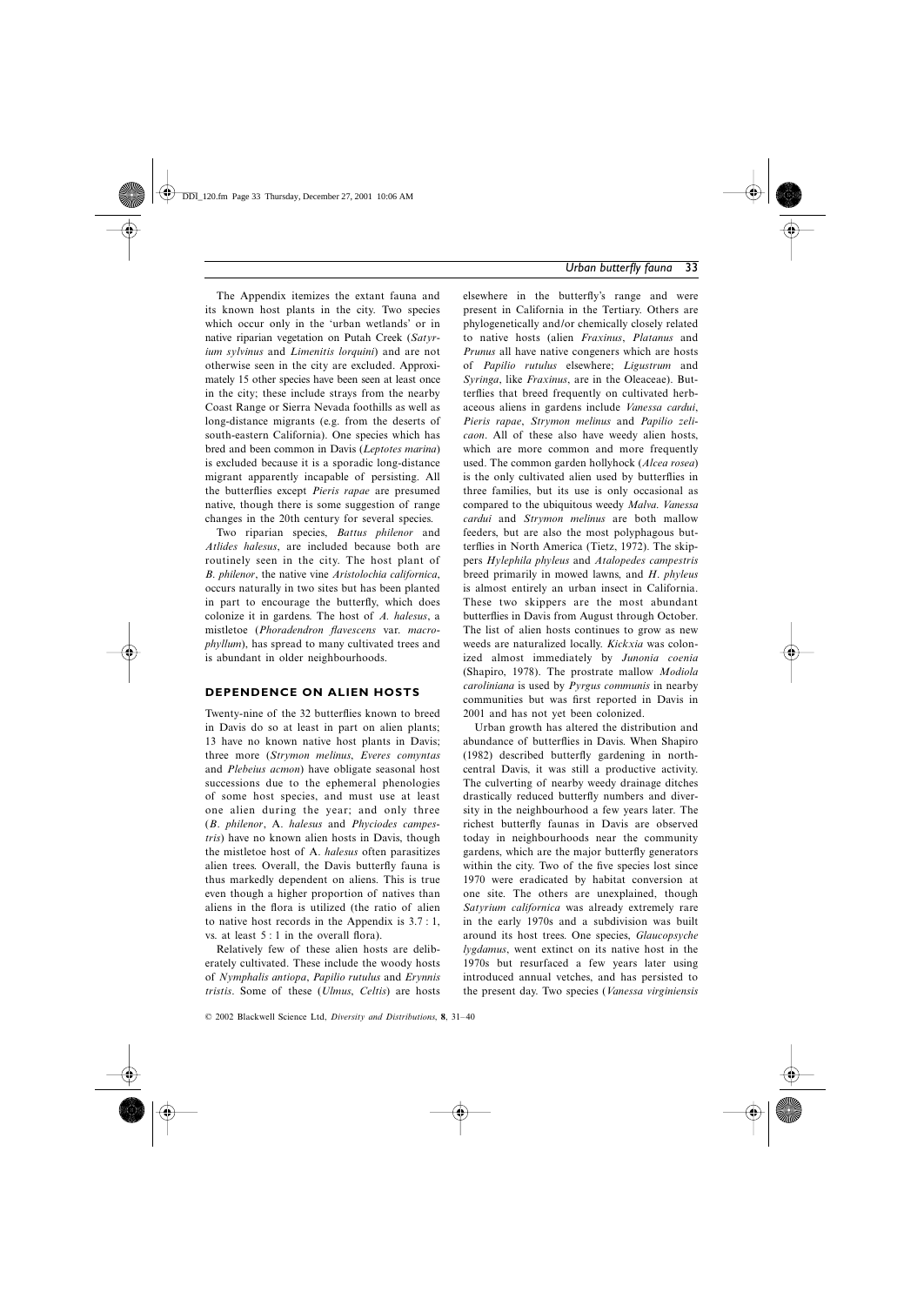The Appendix itemizes the extant fauna and its known host plants in the city. Two species which occur only in the 'urban wetlands' or in native riparian vegetation on Putah Creek (*Satyrium sylvinus* and *Limenitis lorquini*) and are not otherwise seen in the city are excluded. Approximately 15 other species have been seen at least once in the city; these include strays from the nearby Coast Range or Sierra Nevada foothills as well as long-distance migrants (e.g. from the deserts of south-eastern California). One species which has bred and been common in Davis (*Leptotes marina*) is excluded because it is a sporadic long-distance migrant apparently incapable of persisting. All the butterflies except *Pieris rapae* are presumed native, though there is some suggestion of range changes in the 20th century for several species.

Two riparian species, *Battus philenor* and *Atlides halesus*, are included because both are routinely seen in the city. The host plant of *B*. *philenor*, the native vine *Aristolochia californica*, occurs naturally in two sites but has been planted in part to encourage the butterfly, which does colonize it in gardens. The host of *A. halesus*, a mistletoe (*Phoradendron flavescens* var. *macrophyllum*), has spread to many cultivated trees and is abundant in older neighbourhoods.

## **DEPENDENCE ON ALIEN HOSTS**

Twenty-nine of the 32 butterflies known to breed in Davis do so at least in part on alien plants; 13 have no known native host plants in Davis; three more (*Strymon melinus*, *Everes comyntas* and *Plebeius acmon*) have obligate seasonal host successions due to the ephemeral phenologies of some host species, and must use at least one alien during the year; and only three (*B*. *philenor*, A. *halesus* and *Phyciodes campestris*) have no known alien hosts in Davis, though the mistletoe host of A. *halesus* often parasitizes alien trees. Overall, the Davis butterfly fauna is thus markedly dependent on aliens. This is true even though a higher proportion of natives than aliens in the flora is utilized (the ratio of alien to native host records in the Appendix is 3.7 : 1, vs. at least 5 : 1 in the overall flora).

Relatively few of these alien hosts are deliberately cultivated. These include the woody hosts of *Nymphalis antiopa*, *Papilio rutulus* and *Erynnis tristis*. Some of these (*Ulmus*, *Celtis*) are hosts elsewhere in the butterfly's range and were present in California in the Tertiary. Others are phylogenetically and/or chemically closely related to native hosts (alien *Fraxinus*, *Platanus* and *Prunus* all have native congeners which are hosts of *Papilio rutulus* elsewhere; *Ligustrum* and *Syringa*, like *Fraxinus*, are in the Oleaceae). Butterflies that breed frequently on cultivated herbaceous aliens in gardens include *Vanessa cardui*, *Pieris rapae*, *Strymon melinus* and *Papilio zelicaon*. All of these also have weedy alien hosts, which are more common and more frequently used. The common garden hollyhock (*Alcea rosea*) is the only cultivated alien used by butterflies in three families, but its use is only occasional as compared to the ubiquitous weedy *Malva*. *Vanessa cardui* and *Strymon melinus* are both mallow feeders, but are also the most polyphagous butterflies in North America (Tietz, 1972). The skippers *Hylephila phyleus* and *Atalopedes campestris* breed primarily in mowed lawns, and *H*. *phyleus* is almost entirely an urban insect in California. These two skippers are the most abundant butterflies in Davis from August through October. The list of alien hosts continues to grow as new weeds are naturalized locally. *Kickxia* was colonized almost immediately by *Junonia coenia* (Shapiro, 1978). The prostrate mallow *Modiola caroliniana* is used by *Pyrgus communis* in nearby communities but was first reported in Davis in 2001 and has not yet been colonized.

Urban growth has altered the distribution and abundance of butterflies in Davis. When Shapiro (1982) described butterfly gardening in northcentral Davis, it was still a productive activity. The culverting of nearby weedy drainage ditches drastically reduced butterfly numbers and diversity in the neighbourhood a few years later. The richest butterfly faunas in Davis are observed today in neighbourhoods near the community gardens, which are the major butterfly generators within the city. Two of the five species lost since 1970 were eradicated by habitat conversion at one site. The others are unexplained, though *Satyrium californica* was already extremely rare in the early 1970s and a subdivision was built around its host trees. One species, *Glaucopsyche lygdamus*, went extinct on its native host in the 1970s but resurfaced a few years later using introduced annual vetches, and has persisted to the present day. Two species (*Vanessa virginiensis*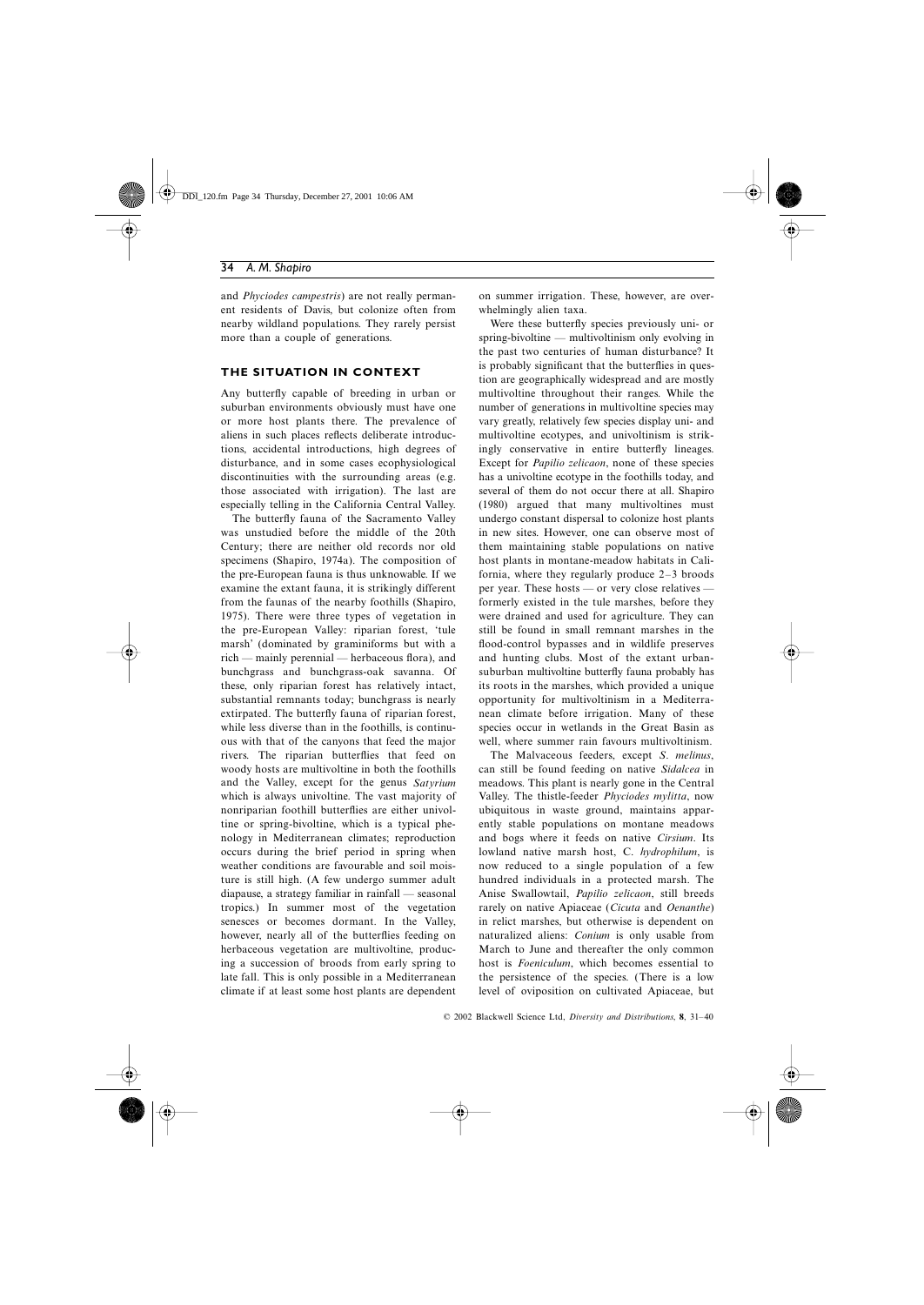and *Phyciodes campestris*) are not really permanent residents of Davis, but colonize often from nearby wildland populations. They rarely persist more than a couple of generations.

#### **THE SITUATION IN CONTEXT**

Any butterfly capable of breeding in urban or suburban environments obviously must have one or more host plants there. The prevalence of aliens in such places reflects deliberate introductions, accidental introductions, high degrees of disturbance, and in some cases ecophysiological discontinuities with the surrounding areas (e.g. those associated with irrigation). The last are especially telling in the California Central Valley.

The butterfly fauna of the Sacramento Valley was unstudied before the middle of the 20th Century; there are neither old records nor old specimens (Shapiro, 1974a). The composition of the pre-European fauna is thus unknowable. If we examine the extant fauna, it is strikingly different from the faunas of the nearby foothills (Shapiro, 1975). There were three types of vegetation in the pre-European Valley: riparian forest, 'tule marsh' (dominated by graminiforms but with a rich — mainly perennial — herbaceous flora), and bunchgrass and bunchgrass-oak savanna. Of these, only riparian forest has relatively intact, substantial remnants today; bunchgrass is nearly extirpated. The butterfly fauna of riparian forest, while less diverse than in the foothills, is continuous with that of the canyons that feed the major rivers. The riparian butterflies that feed on woody hosts are multivoltine in both the foothills and the Valley, except for the genus *Satyrium* which is always univoltine. The vast majority of nonriparian foothill butterflies are either univoltine or spring-bivoltine, which is a typical phenology in Mediterranean climates; reproduction occurs during the brief period in spring when weather conditions are favourable and soil moisture is still high. (A few undergo summer adult diapause, a strategy familiar in rainfall — seasonal tropics.) In summer most of the vegetation senesces or becomes dormant. In the Valley, however, nearly all of the butterflies feeding on herbaceous vegetation are multivoltine, producing a succession of broods from early spring to late fall. This is only possible in a Mediterranean climate if at least some host plants are dependent

on summer irrigation. These, however, are overwhelmingly alien taxa.

Were these butterfly species previously uni- or spring-bivoltine — multivoltinism only evolving in the past two centuries of human disturbance? It is probably significant that the butterflies in question are geographically widespread and are mostly multivoltine throughout their ranges. While the number of generations in multivoltine species may vary greatly, relatively few species display uni- and multivoltine ecotypes, and univoltinism is strikingly conservative in entire butterfly lineages. Except for *Papilio zelicaon*, none of these species has a univoltine ecotype in the foothills today, and several of them do not occur there at all. Shapiro (1980) argued that many multivoltines must undergo constant dispersal to colonize host plants in new sites. However, one can observe most of them maintaining stable populations on native host plants in montane-meadow habitats in California, where they regularly produce 2–3 broods per year. These hosts — or very close relatives formerly existed in the tule marshes, before they were drained and used for agriculture. They can still be found in small remnant marshes in the flood-control bypasses and in wildlife preserves and hunting clubs. Most of the extant urbansuburban multivoltine butterfly fauna probably has its roots in the marshes, which provided a unique opportunity for multivoltinism in a Mediterranean climate before irrigation. Many of these species occur in wetlands in the Great Basin as well, where summer rain favours multivoltinism.

The Malvaceous feeders, except *S*. *melinus*, can still be found feeding on native *Sidalcea* in meadows. This plant is nearly gone in the Central Valley. The thistle-feeder *Phyciodes mylitta*, now ubiquitous in waste ground, maintains apparently stable populations on montane meadows and bogs where it feeds on native *Cirsium*. Its lowland native marsh host, C. *hydrophilum*, is now reduced to a single population of a few hundred individuals in a protected marsh. The Anise Swallowtail, *Papilio zelicaon*, still breeds rarely on native Apiaceae (*Cicuta* and *Oenanthe*) in relict marshes, but otherwise is dependent on naturalized aliens: *Conium* is only usable from March to June and thereafter the only common host is *Foeniculum*, which becomes essential to the persistence of the species. (There is a low level of oviposition on cultivated Apiaceae, but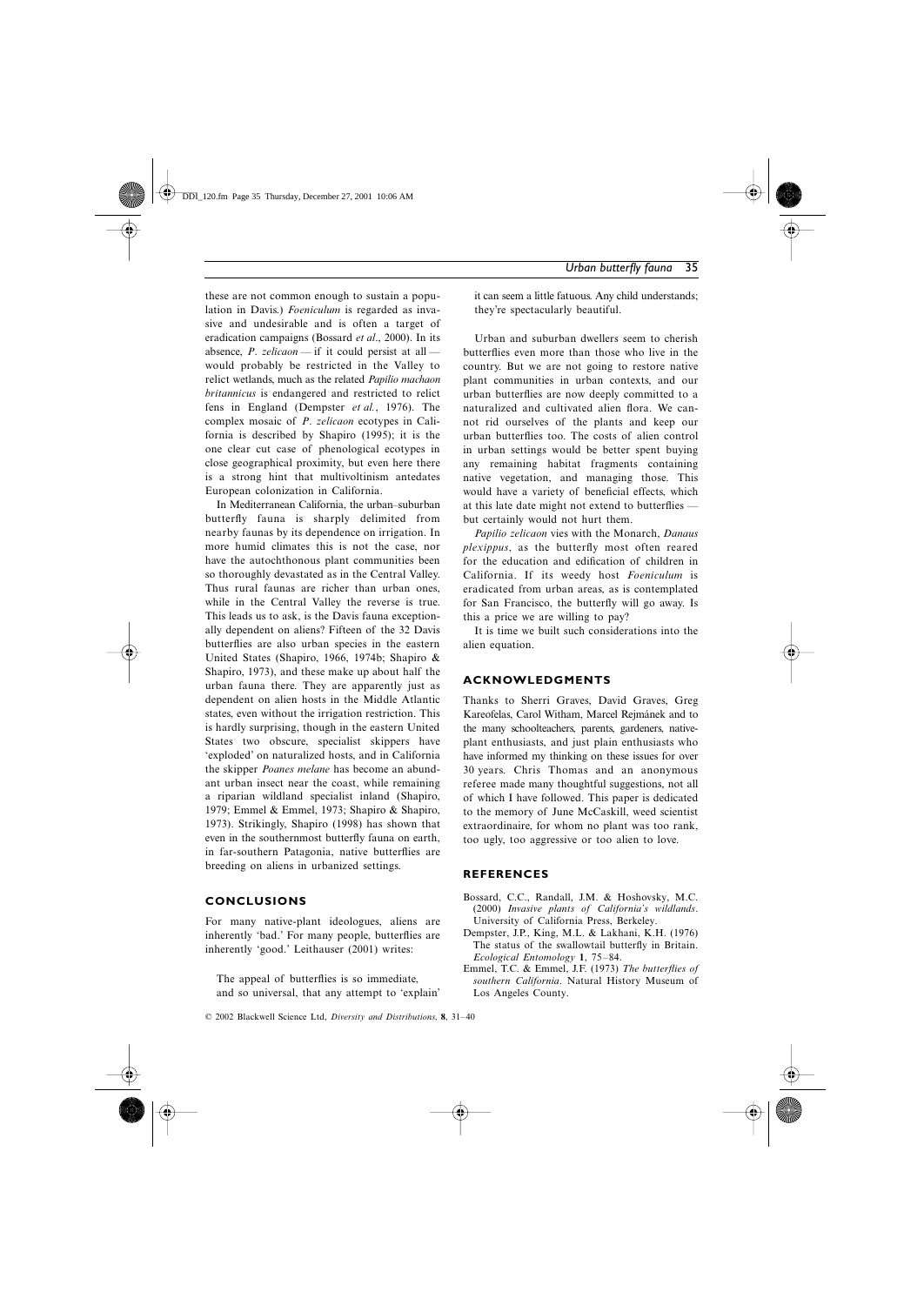these are not common enough to sustain a population in Davis.) *Foeniculum* is regarded as invasive and undesirable and is often a target of eradication campaigns (Bossard *et al*., 2000). In its absence, *P*. *zelicaon* — if it could persist at all would probably be restricted in the Valley to relict wetlands, much as the related *Papilio machaon britannicus* is endangered and restricted to relict fens in England (Dempster *et al.*, 1976). The complex mosaic of *P*. *zelicaon* ecotypes in California is described by Shapiro (1995); it is the one clear cut case of phenological ecotypes in close geographical proximity, but even here there is a strong hint that multivoltinism antedates European colonization in California.

In Mediterranean California, the urban–suburban butterfly fauna is sharply delimited from nearby faunas by its dependence on irrigation. In more humid climates this is not the case, nor have the autochthonous plant communities been so thoroughly devastated as in the Central Valley. Thus rural faunas are richer than urban ones, while in the Central Valley the reverse is true. This leads us to ask, is the Davis fauna exceptionally dependent on aliens? Fifteen of the 32 Davis butterflies are also urban species in the eastern United States (Shapiro, 1966, 1974b; Shapiro & Shapiro, 1973), and these make up about half the urban fauna there. They are apparently just as dependent on alien hosts in the Middle Atlantic states, even without the irrigation restriction. This is hardly surprising, though in the eastern United States two obscure, specialist skippers have 'exploded' on naturalized hosts, and in California the skipper *Poanes melane* has become an abundant urban insect near the coast, while remaining a riparian wildland specialist inland (Shapiro, 1979; Emmel & Emmel, 1973; Shapiro & Shapiro, 1973). Strikingly, Shapiro (1998) has shown that even in the southernmost butterfly fauna on earth, in far-southern Patagonia, native butterflies are breeding on aliens in urbanized settings.

#### **CONCLUSIONS**

For many native-plant ideologues, aliens are inherently 'bad.' For many people, butterflies are inherently 'good.' Leithauser (2001) writes:

The appeal of butterflies is so immediate, and so universal, that any attempt to 'explain' it can seem a little fatuous. Any child understands; they're spectacularly beautiful.

Urban and suburban dwellers seem to cherish butterflies even more than those who live in the country. But we are not going to restore native plant communities in urban contexts, and our urban butterflies are now deeply committed to a naturalized and cultivated alien flora. We cannot rid ourselves of the plants and keep our urban butterflies too. The costs of alien control in urban settings would be better spent buying any remaining habitat fragments containing native vegetation, and managing those. This would have a variety of beneficial effects, which at this late date might not extend to butterflies but certainly would not hurt them.

*Papilio zelicaon* vies with the Monarch, *Danaus plexippus*, as the butterfly most often reared for the education and edification of children in California. If its weedy host *Foeniculum* is eradicated from urban areas, as is contemplated for San Francisco, the butterfly will go away. Is this a price we are willing to pay?

It is time we built such considerations into the alien equation.

#### **ACKNOWLEDGMENTS**

Thanks to Sherri Graves, David Graves, Greg Kareofelas, Carol Witham, Marcel Rejmánek and to the many schoolteachers, parents, gardeners, nativeplant enthusiasts, and just plain enthusiasts who have informed my thinking on these issues for over 30 years. Chris Thomas and an anonymous referee made many thoughtful suggestions, not all of which I have followed. This paper is dedicated to the memory of June McCaskill, weed scientist extraordinaire, for whom no plant was too rank, too ugly, too aggressive or too alien to love.

#### **REFERENCES**

- Bossard, C.C., Randall, J.M. & Hoshovsky, M.C. (2000) *Invasive plants of California's wildlands*. University of California Press, Berkeley.
- Dempster, J.P., King, M.L. & Lakhani, K.H. (1976) The status of the swallowtail butterfly in Britain. *Ecological Entomology* **1**, 75–84.
- Emmel, T.C. & Emmel, J.F. (1973) *The butterflies of southern California*. Natural History Museum of Los Angeles County.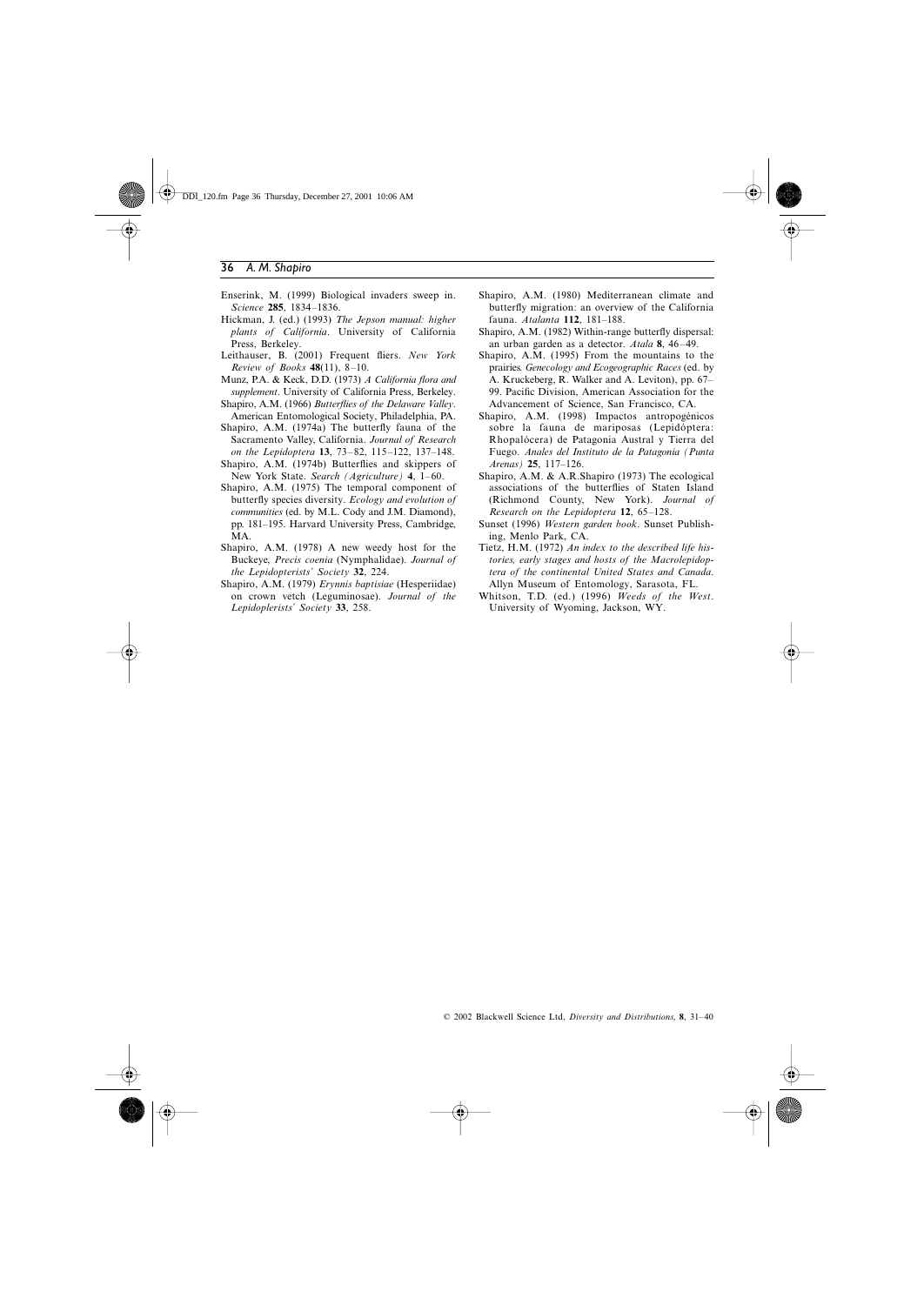- Enserink, M. (1999) Biological invaders sweep in. *Science* **285**, 1834–1836.
- Hickman, J. (ed.) (1993) *The Jepson manual: higher plants of California*. University of California Press, Berkeley.
- Leithauser, B. (2001) Frequent fliers. *New York Review of Books* **48**(11), 8–10.
- Munz, P.A. & Keck, D.D. (1973) *A California flora and supplement*. University of California Press, Berkeley.
- Shapiro, A.M. (1966) *Butterflies of the Delaware Valley*. American Entomological Society, Philadelphia, PA.
- Shapiro, A.M. (1974a) The butterfly fauna of the Sacramento Valley, California. *Journal of Research on the Lepidoptera* **13**, 73–82, 115–122, 137–148.
- Shapiro, A.M. (1974b) Butterflies and skippers of New York State. *Search (Agriculture)* **4**, 1–60.
- Shapiro, A.M. (1975) The temporal component of butterfly species diversity. *Ecology and evolution of communities* (ed. by M.L. Cody and J.M. Diamond), pp. 181–195. Harvard University Press, Cambridge, MA.
- Shapiro, A.M. (1978) A new weedy host for the Buckeye, *Precis coenia* (Nymphalidae). *Journal of the Lepidopterists' Society* **32**, 224.
- Shapiro, A.M. (1979) *Erynnis baptisiae* (Hesperiidae) on crown vetch (Leguminosae). *Journal of the Lepidoplerists' Society* **33**, 258.
- Shapiro, A.M. (1980) Mediterranean climate and butterfly migration: an overview of the California fauna. *Atalanta* **112**, 181–188.
- Shapiro, A.M. (1982) Within-range butterfly dispersal: an urban garden as a detector. *Atala* **8**, 46–49.
- Shapiro, A.M. (1995) From the mountains to the prairies. *Genecology and Ecogeographic Races* (ed. by A. Kruckeberg, R. Walker and A. Leviton), pp. 67– 99. Pacific Division, American Association for the Advancement of Science, San Francisco, CA.
- Shapiro, A.M. (1998) Impactos antropogénicos sobre la fauna de mariposas (Lepidóptera: Rhopalócera) de Patagonia Austral y Tierra del Fuego. *Anales del Instituto de la Patagonia (Punta Arenas)* **25**, 117–126.
- Shapiro, A.M. & A.R.Shapiro (1973) The ecological associations of the butterflies of Staten Island (Richmond County, New York). *Journal of Research on the Lepidoptera* **12**, 65–128.
- Sunset (1996) *Western garden book*. Sunset Publishing, Menlo Park, CA.
- Tietz, H.M. (1972) *An index to the described life histories, early stages and hosts of the Macrolepidoptera of the continental United States and Canada*. Allyn Museum of Entomology, Sarasota, FL.
- Whitson, T.D. (ed.) (1996) *Weeds of the West*. University of Wyoming, Jackson, WY.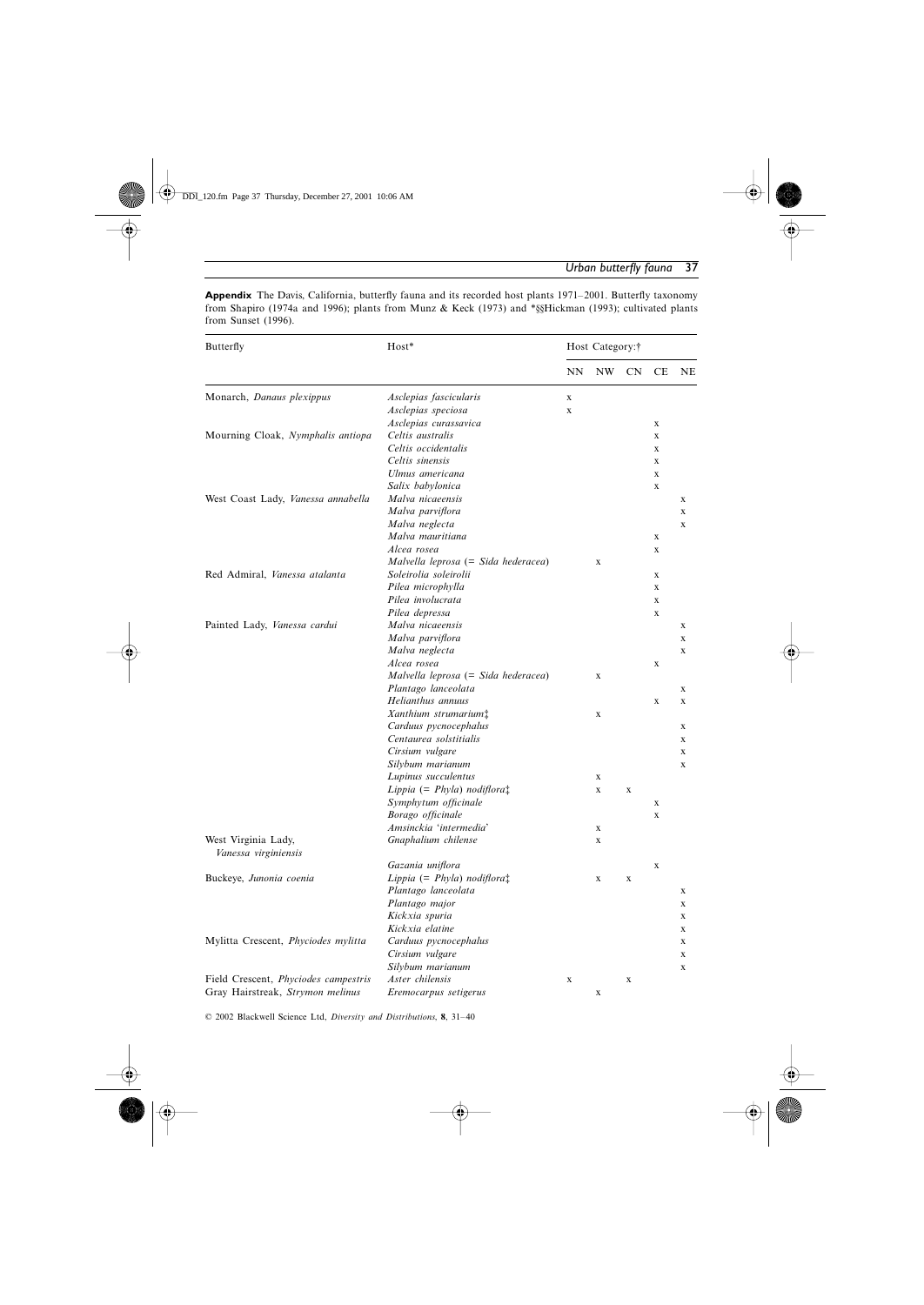**Appendix** The Davis, California, butterfly fauna and its recorded host plants 1971–2001. Butterfly taxonomy from Shapiro (1974a and 1996); plants from Munz & Keck (1973) and \*§§Hickman (1993); cultivated plants from Sunset (1996).

| Butterfly                                   | Host*                                              | Host Category:† |             |           |             |    |  |  |
|---------------------------------------------|----------------------------------------------------|-----------------|-------------|-----------|-------------|----|--|--|
|                                             |                                                    | NN              | NW.         | <b>CN</b> | <b>CE</b>   | NE |  |  |
| Monarch, Danaus plexippus                   | Asclepias fascicularis                             | X               |             |           |             |    |  |  |
|                                             | Asclepias speciosa                                 | $\mathbf X$     |             |           |             |    |  |  |
|                                             | Asclepias curassavica                              |                 |             |           | X           |    |  |  |
| Mourning Cloak, Nymphalis antiopa           | Celtis australis                                   |                 |             |           | X           |    |  |  |
|                                             | Celtis occidentalis                                |                 |             |           | X           |    |  |  |
|                                             | Celtis sinensis                                    |                 |             |           | X           |    |  |  |
|                                             | Ulmus americana                                    |                 |             |           | X           |    |  |  |
|                                             | Salix babylonica                                   |                 |             |           | X           |    |  |  |
| West Coast Lady, Vanessa annabella          | Malva nicaeensis                                   |                 |             |           |             | X  |  |  |
|                                             | Malva parviflora                                   |                 |             |           |             | X  |  |  |
|                                             | Malva neglecta                                     |                 |             |           |             | X  |  |  |
|                                             | Malva mauritiana                                   |                 |             |           | X           |    |  |  |
|                                             | Alcea rosea                                        |                 |             |           | X           |    |  |  |
|                                             | Malvella leprosa $(= Sida hederacea)$              |                 | X           |           |             |    |  |  |
| Red Admiral, Vanessa atalanta               | Soleirolia soleirolii                              |                 |             |           | X           |    |  |  |
|                                             | Pilea microphylla                                  |                 |             |           | X           |    |  |  |
|                                             | Pilea involucrata                                  |                 |             |           | X           |    |  |  |
|                                             | Pilea depressa                                     |                 |             |           | $\mathbf X$ |    |  |  |
| Painted Lady, Vanessa cardui                | Malva nicaeensis                                   |                 |             |           |             | X  |  |  |
|                                             | Malva parviflora                                   |                 |             |           |             | X  |  |  |
|                                             | Malva neglecta                                     |                 |             |           |             | X  |  |  |
|                                             | Alcea rosea                                        |                 |             |           | X           |    |  |  |
|                                             | Malvella leprosa (= Sida hederacea)                |                 | X           |           |             |    |  |  |
|                                             | Plantago lanceolata                                |                 |             |           |             | X  |  |  |
|                                             | Helianthus annuus                                  |                 |             |           | $\mathbf X$ | X  |  |  |
|                                             | Xanthium strumarium                                |                 | X           |           |             |    |  |  |
|                                             | Carduus pycnocephalus                              |                 |             |           |             | X  |  |  |
|                                             | Centaurea solstitialis                             |                 |             |           |             | X  |  |  |
|                                             | Cirsium vulgare                                    |                 |             |           |             | X  |  |  |
|                                             | Silybum marianum                                   |                 |             |           |             | X  |  |  |
|                                             | Lupinus succulentus                                |                 | X           |           |             |    |  |  |
|                                             | Lippia (= Phyla) nodiflora‡                        |                 | X           | X         |             |    |  |  |
|                                             | Symphytum officinale                               |                 |             |           | X           |    |  |  |
|                                             | Borago officinale                                  |                 |             |           | X           |    |  |  |
|                                             | Amsinckia 'intermedia'                             |                 | X           |           |             |    |  |  |
| West Virginia Lady,<br>Vanessa virginiensis | Gnaphalium chilense                                |                 | X           |           |             |    |  |  |
|                                             | Gazania uniflora                                   |                 |             |           | X           |    |  |  |
| Buckeye, Junonia coenia                     | Lippia (= Phyla) nodiflora‡<br>Plantago lanceolata |                 | X           | X         |             | X  |  |  |
|                                             | Plantago major                                     |                 |             |           |             | X  |  |  |
|                                             | Kickxia spuria                                     |                 |             |           |             | X  |  |  |
|                                             | Kickxia elatine                                    |                 |             |           |             | X  |  |  |
| Mylitta Crescent, Phyciodes mylitta         | Carduus pycnocephalus                              |                 |             |           |             | X  |  |  |
|                                             | Cirsium vulgare                                    |                 |             |           |             | X  |  |  |
|                                             | Silybum marianum                                   |                 |             |           |             | X  |  |  |
| Field Crescent, Phyciodes campestris        | Aster chilensis                                    | X               |             | X         |             |    |  |  |
| Gray Hairstreak, Strymon melinus            | Eremocarpus setigerus                              |                 | $\mathbf X$ |           |             |    |  |  |

© 2002 Blackwell Science Ltd, *Diversity and Distributions*, **8**, 31–40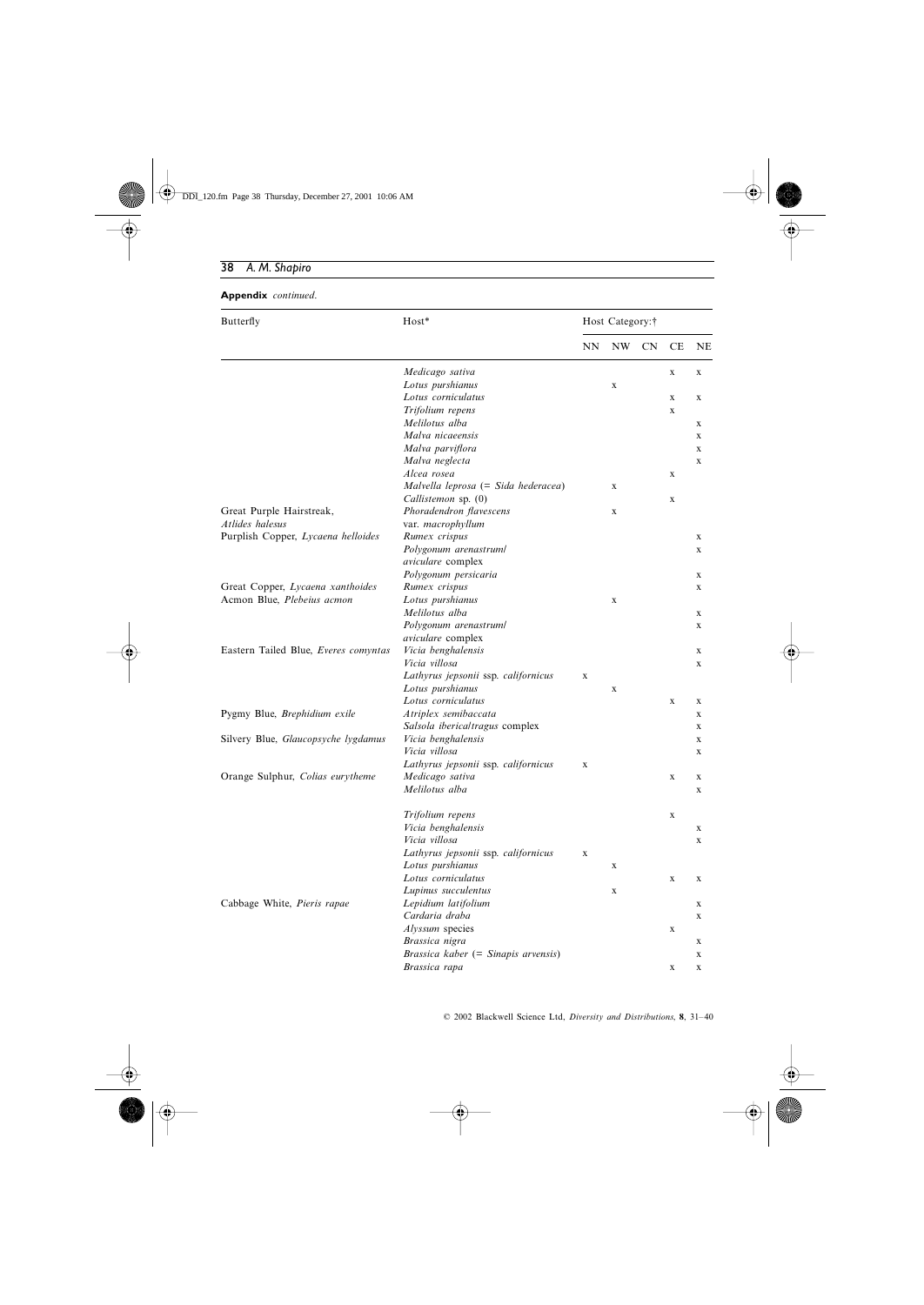## 38 *A. M. Shapiro*

#### **Appendix** *continued*.

| Butterfly                            | Host*                                      | Host Category:† |             |     |             |                  |
|--------------------------------------|--------------------------------------------|-----------------|-------------|-----|-------------|------------------|
|                                      |                                            | NN              | NW          | CN. | СE          | NE               |
|                                      | Medicago sativa                            |                 |             |     | $\mathbf X$ | X                |
|                                      | Lotus purshianus                           |                 | X           |     |             |                  |
|                                      | Lotus corniculatus                         |                 |             |     | $\mathbf X$ | X                |
|                                      | Trifolium repens                           |                 |             |     | $\mathbf X$ |                  |
|                                      | Melilotus alba                             |                 |             |     |             | X                |
|                                      | Malva nicaeensis                           |                 |             |     |             | X                |
|                                      | Malva parviflora                           |                 |             |     |             | X                |
|                                      | Malva neglecta                             |                 |             |     |             | X                |
|                                      | Alcea rosea                                |                 |             |     | $\mathbf X$ |                  |
|                                      | Malvella leprosa (= Sida hederacea)        |                 | X           |     |             |                  |
|                                      | Callistemon sp. (0)                        |                 |             |     | X           |                  |
| Great Purple Hairstreak,             | Phoradendron flavescens                    |                 | $\mathbf X$ |     |             |                  |
| Atlides halesus                      | var. macrophyllum                          |                 |             |     |             |                  |
| Purplish Copper, Lycaena helloides   | Rumex crispus                              |                 |             |     |             | X                |
|                                      | Polygonum arenastruml                      |                 |             |     |             | X                |
|                                      | aviculare complex                          |                 |             |     |             |                  |
|                                      | Polygonum persicaria                       |                 |             |     |             | X                |
| Great Copper, Lycaena xanthoides     | Rumex crispus                              |                 |             |     |             | X                |
| Acmon Blue, Plebeius acmon           | Lotus purshianus                           |                 | X           |     |             |                  |
|                                      | Melilotus alba                             |                 |             |     |             | X                |
|                                      | Polygonum arenastruml<br>aviculare complex |                 |             |     |             | X                |
| Eastern Tailed Blue, Everes comyntas | Vicia benghalensis                         |                 |             |     |             |                  |
|                                      | Vicia villosa                              |                 |             |     |             | X<br>$\mathbf X$ |
|                                      | Lathyrus jepsonii ssp. californicus        | X               |             |     |             |                  |
|                                      | Lotus purshianus                           |                 | X           |     |             |                  |
|                                      | Lotus corniculatus                         |                 |             |     | $\mathbf X$ | X                |
| Pygmy Blue, Brephidium exile         | Atriplex semibaccata                       |                 |             |     |             | X                |
|                                      | Salsola ibericaltragus complex             |                 |             |     |             | X                |
| Silvery Blue, Glaucopsyche lygdamus  | Vicia benghalensis                         |                 |             |     |             | X                |
|                                      | Vicia villosa                              |                 |             |     |             | X                |
|                                      | Lathyrus jepsonii ssp. californicus        | $\mathbf X$     |             |     |             |                  |
| Orange Sulphur, Colias eurytheme     | Medicago sativa                            |                 |             |     | $\mathbf X$ | X                |
|                                      | Melilotus alba                             |                 |             |     |             | X                |
|                                      |                                            |                 |             |     |             |                  |
|                                      | Trifolium repens                           |                 |             |     | $\mathbf X$ |                  |
|                                      | Vicia benghalensis<br>Vicia villosa        |                 |             |     |             | X                |
|                                      | Lathyrus jepsonii ssp. californicus        |                 |             |     |             | X                |
|                                      | Lotus purshianus                           | X               |             |     |             |                  |
|                                      | Lotus corniculatus                         |                 | X           |     |             |                  |
|                                      | Lupinus succulentus                        |                 | x           |     | $\mathbf X$ | X                |
| Cabbage White, Pieris rapae          | Lepidium latifolium                        |                 |             |     |             | X                |
|                                      | Cardaria draba                             |                 |             |     |             | X                |
|                                      | Alyssum species                            |                 |             |     | $\mathbf X$ |                  |
|                                      | Brassica nigra                             |                 |             |     |             | X                |
|                                      | Brassica kaber (= Sinapis arvensis)        |                 |             |     |             | X                |
|                                      | Brassica rapa                              |                 |             |     | $\mathbf X$ | X                |
|                                      |                                            |                 |             |     |             |                  |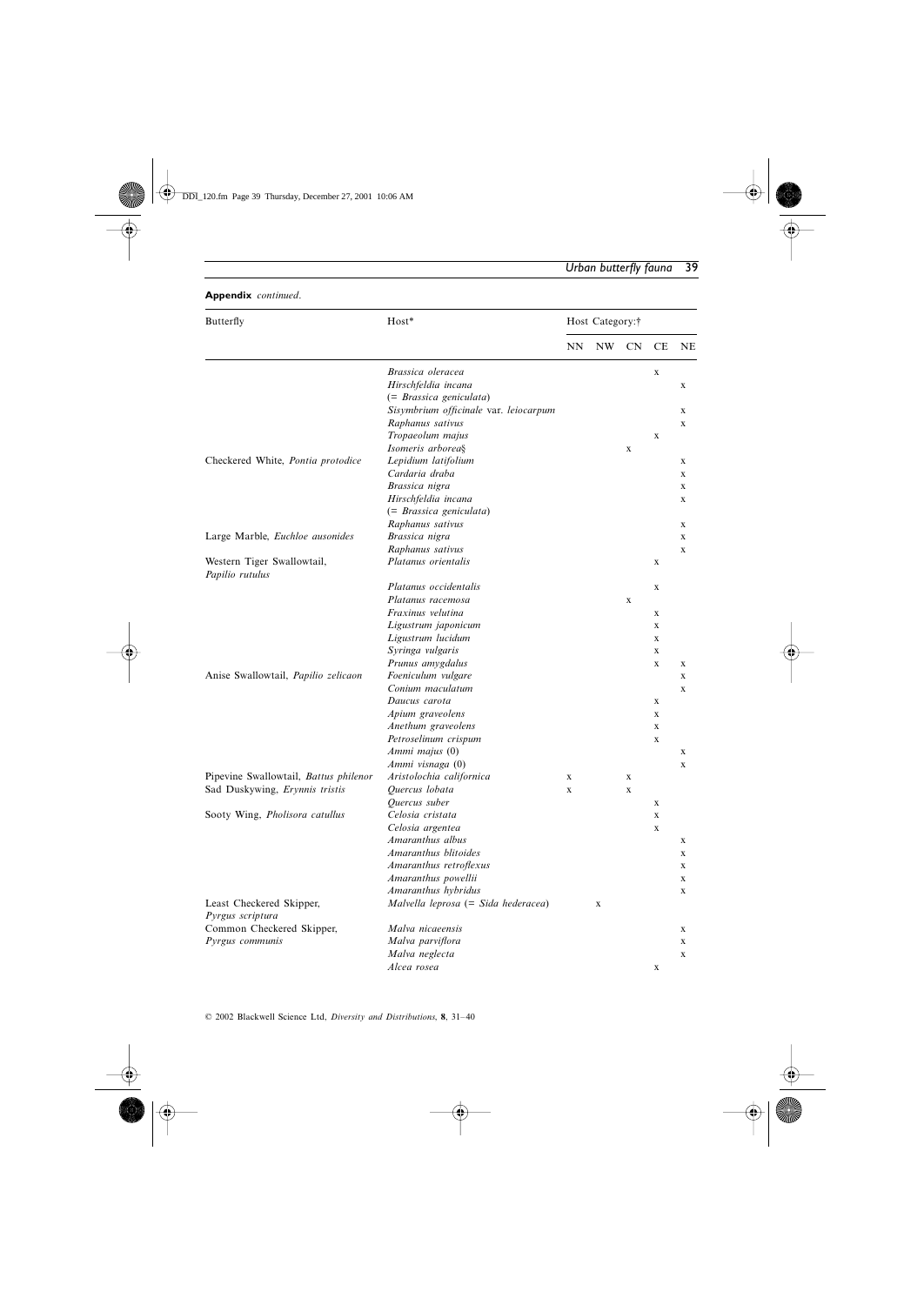**Appendix** *continued*.

| Butterfly                                     | Host*                                 | Host Category:† |             |             |             |             |
|-----------------------------------------------|---------------------------------------|-----------------|-------------|-------------|-------------|-------------|
|                                               |                                       | NN              | NW          | <b>CN</b>   | CE          | <b>NE</b>   |
|                                               | Brassica oleracea                     |                 |             |             | $\mathbf X$ |             |
|                                               | Hirschfeldia incana                   |                 |             |             |             | X           |
|                                               | (= Brassica geniculata)               |                 |             |             |             |             |
|                                               | Sisymbrium officinale var. leiocarpum |                 |             |             |             | $\mathbf X$ |
|                                               | Raphanus sativus                      |                 |             |             |             | $\mathbf X$ |
|                                               | Tropaeolum majus                      |                 |             |             | $\mathbf x$ |             |
|                                               | Isomeris arborea§                     |                 |             | $\mathbf X$ |             |             |
| Checkered White, Pontia protodice             | Lepidium latifolium                   |                 |             |             |             | X           |
|                                               | Cardaria draba                        |                 |             |             |             | X           |
|                                               | Brassica nigra                        |                 |             |             |             | $\mathbf X$ |
|                                               | Hirschfeldia incana                   |                 |             |             |             | $\mathbf X$ |
|                                               | (= Brassica geniculata)               |                 |             |             |             |             |
|                                               | Raphanus sativus                      |                 |             |             |             | X           |
| Large Marble, <i>Euchloe ausonides</i>        | Brassica nigra                        |                 |             |             |             | $\mathbf x$ |
|                                               | Raphanus sativus                      |                 |             |             |             | $\mathbf x$ |
| Western Tiger Swallowtail,<br>Papilio rutulus | Platanus orientalis                   |                 |             |             | X           |             |
|                                               | Platanus occidentalis                 |                 |             |             | $\mathbf X$ |             |
|                                               | Platanus racemosa                     |                 |             | $\mathbf X$ |             |             |
|                                               | Fraxinus velutina                     |                 |             |             | $\mathbf X$ |             |
|                                               | Ligustrum japonicum                   |                 |             |             | $\mathbf X$ |             |
|                                               | Ligustrum lucidum                     |                 |             |             | $\mathbf X$ |             |
|                                               | Syringa vulgaris                      |                 |             |             | $\mathbf X$ |             |
|                                               | Prunus amygdalus                      |                 |             |             | $\mathbf X$ | X           |
| Anise Swallowtail, Papilio zelicaon           | Foeniculum vulgare                    |                 |             |             |             | $\mathbf X$ |
|                                               | Conium maculatum                      |                 |             |             |             | $\mathbf X$ |
|                                               | Daucus carota                         |                 |             |             | $\mathbf X$ |             |
|                                               | Apium graveolens                      |                 |             |             | $\mathbf x$ |             |
|                                               | Anethum graveolens                    |                 |             |             | $\mathbf X$ |             |
|                                               | Petroselinum crispum                  |                 |             |             | $\mathbf X$ |             |
|                                               | Ammi majus (0)                        |                 |             |             |             | X           |
|                                               | Ammi visnaga (0)                      |                 |             |             |             | $\mathbf X$ |
| Pipevine Swallowtail, Battus philenor         | Aristolochia californica              | $\mathbf X$     |             | $\mathbf X$ |             |             |
| Sad Duskywing, Erynnis tristis                | Quercus lobata                        | $\mathbf x$     |             | $\mathbf X$ |             |             |
|                                               | Quercus suber                         |                 |             |             | $\mathbf x$ |             |
| Sooty Wing, <i>Pholisora catullus</i>         | Celosia cristata                      |                 |             |             | $\mathbf x$ |             |
|                                               | Celosia argentea                      |                 |             |             | $\mathbf X$ |             |
|                                               | Amaranthus albus                      |                 |             |             |             | X           |
|                                               | Amaranthus blitoides                  |                 |             |             |             | $\mathbf X$ |
|                                               | Amaranthus retroflexus                |                 |             |             |             | X           |
|                                               | Amaranthus powellii                   |                 |             |             |             | $\mathbf X$ |
|                                               | Amaranthus hybridus                   |                 |             |             |             | $\mathbf X$ |
| Least Checkered Skipper,<br>Pyrgus scriptura  | Malvella leprosa (= Sida hederacea)   |                 | $\mathbf X$ |             |             |             |
| Common Checkered Skipper,                     | Malva nicaeensis                      |                 |             |             |             | X           |
| Pyrgus communis                               | Malva parviflora                      |                 |             |             |             | $\mathbf X$ |
|                                               | Malva neglecta                        |                 |             |             |             | $\mathbf X$ |
|                                               | Alcea rosea                           |                 |             |             | $\mathbf X$ |             |